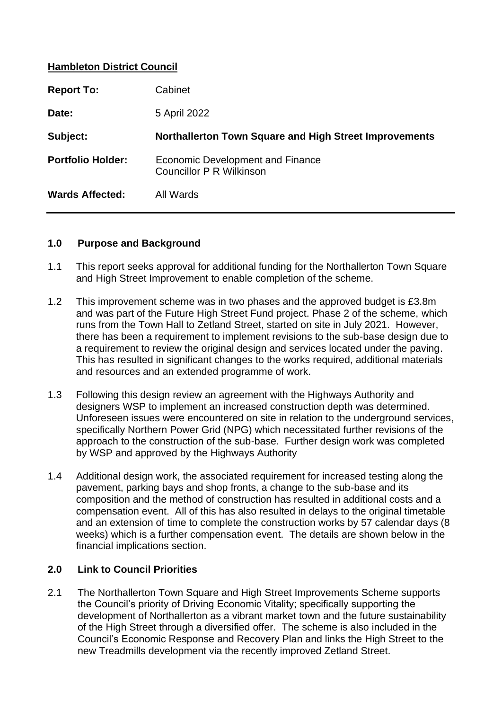## **Hambleton District Council**

| <b>Report To:</b>        | Cabinet                                                             |
|--------------------------|---------------------------------------------------------------------|
| Date:                    | 5 April 2022                                                        |
| Subject:                 | Northallerton Town Square and High Street Improvements              |
| <b>Portfolio Holder:</b> | Economic Development and Finance<br><b>Councillor P R Wilkinson</b> |
| <b>Wards Affected:</b>   | All Wards                                                           |

#### **1.0 Purpose and Background**

- 1.1 This report seeks approval for additional funding for the Northallerton Town Square and High Street Improvement to enable completion of the scheme.
- 1.2 This improvement scheme was in two phases and the approved budget is £3.8m and was part of the Future High Street Fund project. Phase 2 of the scheme, which runs from the Town Hall to Zetland Street, started on site in July 2021. However, there has been a requirement to implement revisions to the sub-base design due to a requirement to review the original design and services located under the paving. This has resulted in significant changes to the works required, additional materials and resources and an extended programme of work.
- 1.3 Following this design review an agreement with the Highways Authority and designers WSP to implement an increased construction depth was determined. Unforeseen issues were encountered on site in relation to the underground services, specifically Northern Power Grid (NPG) which necessitated further revisions of the approach to the construction of the sub-base. Further design work was completed by WSP and approved by the Highways Authority
- 1.4 Additional design work, the associated requirement for increased testing along the pavement, parking bays and shop fronts, a change to the sub-base and its composition and the method of construction has resulted in additional costs and a compensation event. All of this has also resulted in delays to the original timetable and an extension of time to complete the construction works by 57 calendar days (8 weeks) which is a further compensation event. The details are shown below in the financial implications section.

## **2.0 Link to Council Priorities**

2.1 The Northallerton Town Square and High Street Improvements Scheme supports the Council's priority of Driving Economic Vitality; specifically supporting the development of Northallerton as a vibrant market town and the future sustainability of the High Street through a diversified offer. The scheme is also included in the Council's Economic Response and Recovery Plan and links the High Street to the new Treadmills development via the recently improved Zetland Street.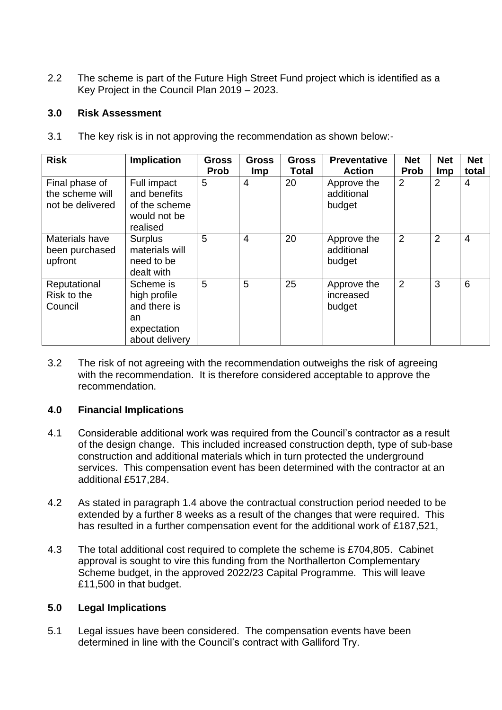2.2 The scheme is part of the Future High Street Fund project which is identified as a Key Project in the Council Plan 2019 – 2023.

## **3.0 Risk Assessment**

3.1 The key risk is in not approving the recommendation as shown below:-

| <b>Risk</b>                                           | <b>Implication</b>                                                               | <b>Gross</b><br><b>Prob</b> | <b>Gross</b><br><b>Imp</b> | <b>Gross</b><br><b>Total</b> | <b>Preventative</b><br><b>Action</b> | <b>Net</b><br><b>Prob</b> | <b>Net</b><br><b>Imp</b> | <b>Net</b><br>total |
|-------------------------------------------------------|----------------------------------------------------------------------------------|-----------------------------|----------------------------|------------------------------|--------------------------------------|---------------------------|--------------------------|---------------------|
| Final phase of<br>the scheme will<br>not be delivered | Full impact<br>and benefits<br>of the scheme<br>would not be<br>realised         | 5                           | 4                          | 20                           | Approve the<br>additional<br>budget  | $\overline{2}$            | 2                        | 4                   |
| Materials have<br>been purchased<br>upfront           | <b>Surplus</b><br>materials will<br>need to be<br>dealt with                     | 5                           | $\overline{4}$             | 20                           | Approve the<br>additional<br>budget  | $\overline{2}$            | 2                        | $\overline{4}$      |
| Reputational<br>Risk to the<br>Council                | Scheme is<br>high profile<br>and there is<br>an<br>expectation<br>about delivery | 5                           | 5                          | 25                           | Approve the<br>increased<br>budget   | 2                         | 3                        | 6                   |

3.2 The risk of not agreeing with the recommendation outweighs the risk of agreeing with the recommendation. It is therefore considered acceptable to approve the recommendation.

## **4.0 Financial Implications**

- 4.1 Considerable additional work was required from the Council's contractor as a result of the design change. This included increased construction depth, type of sub-base construction and additional materials which in turn protected the underground services. This compensation event has been determined with the contractor at an additional £517,284.
- 4.2 As stated in paragraph 1.4 above the contractual construction period needed to be extended by a further 8 weeks as a result of the changes that were required. This has resulted in a further compensation event for the additional work of £187,521,
- 4.3 The total additional cost required to complete the scheme is £704,805. Cabinet approval is sought to vire this funding from the Northallerton Complementary Scheme budget, in the approved 2022/23 Capital Programme. This will leave £11,500 in that budget.

### **5.0 Legal Implications**

5.1 Legal issues have been considered. The compensation events have been determined in line with the Council's contract with Galliford Try.